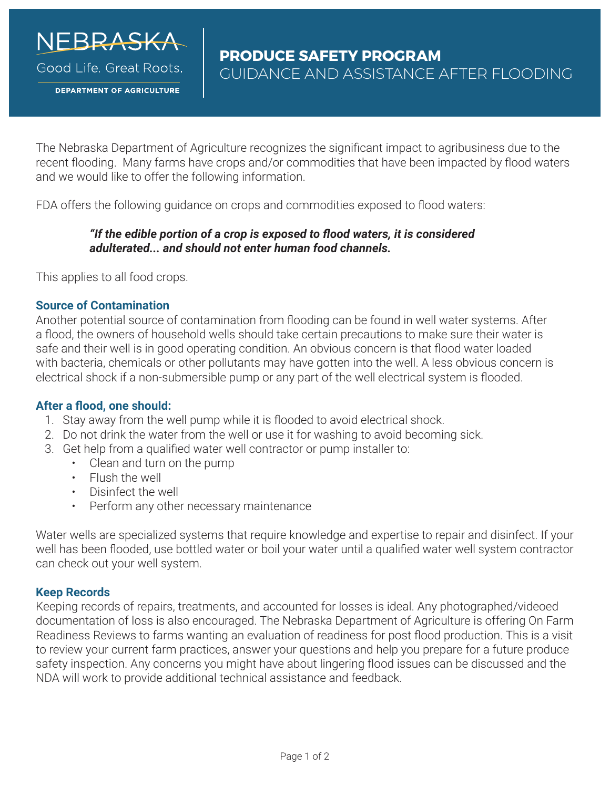

Good Life, Great Roots,

**DEPARTMENT OF AGRICULTURE** 

The Nebraska Department of Agriculture recognizes the significant impact to agribusiness due to the recent flooding. Many farms have crops and/or commodities that have been impacted by flood waters and we would like to offer the following information.

FDA offers the following guidance on crops and commodities exposed to flood waters:

# *"If the edible portion of a crop is exposed to flood waters, it is considered adulterated... and should not enter human food channels.*

This applies to all food crops.

## **Source of Contamination**

Another potential source of contamination from flooding can be found in well water systems. After a flood, the owners of household wells should take certain precautions to make sure their water is safe and their well is in good operating condition. An obvious concern is that flood water loaded with bacteria, chemicals or other pollutants may have gotten into the well. A less obvious concern is electrical shock if a non-submersible pump or any part of the well electrical system is flooded.

# **After a flood, one should:**

- 1. Stay away from the well pump while it is flooded to avoid electrical shock.
- 2. Do not drink the water from the well or use it for washing to avoid becoming sick.
- 3. Get help from a qualified water well contractor or pump installer to:
	- Clean and turn on the pump
	- Flush the well
	- Disinfect the well
	- Perform any other necessary maintenance

Water wells are specialized systems that require knowledge and expertise to repair and disinfect. If your well has been flooded, use bottled water or boil your water until a qualified water well system contractor can check out your well system.

#### **Keep Records**

Keeping records of repairs, treatments, and accounted for losses is ideal. Any photographed/videoed documentation of loss is also encouraged. The Nebraska Department of Agriculture is offering On Farm Readiness Reviews to farms wanting an evaluation of readiness for post flood production. This is a visit to review your current farm practices, answer your questions and help you prepare for a future produce safety inspection. Any concerns you might have about lingering flood issues can be discussed and the NDA will work to provide additional technical assistance and feedback.